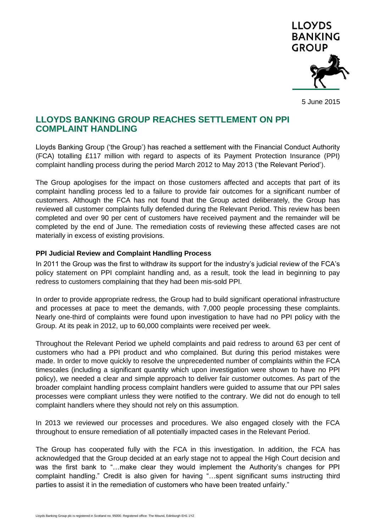

5 June 2015

# **LLOYDS BANKING GROUP REACHES SETTLEMENT ON PPI COMPLAINT HANDLING**

Lloyds Banking Group ('the Group') has reached a settlement with the Financial Conduct Authority (FCA) totalling £117 million with regard to aspects of its Payment Protection Insurance (PPI) complaint handling process during the period March 2012 to May 2013 ('the Relevant Period').

The Group apologises for the impact on those customers affected and accepts that part of its complaint handling process led to a failure to provide fair outcomes for a significant number of customers. Although the FCA has not found that the Group acted deliberately, the Group has reviewed all customer complaints fully defended during the Relevant Period. This review has been completed and over 90 per cent of customers have received payment and the remainder will be completed by the end of June. The remediation costs of reviewing these affected cases are not materially in excess of existing provisions.

### **PPI Judicial Review and Complaint Handling Process**

In 2011 the Group was the first to withdraw its support for the industry's judicial review of the FCA's policy statement on PPI complaint handling and, as a result, took the lead in beginning to pay redress to customers complaining that they had been mis-sold PPI.

In order to provide appropriate redress, the Group had to build significant operational infrastructure and processes at pace to meet the demands, with 7,000 people processing these complaints. Nearly one-third of complaints were found upon investigation to have had no PPI policy with the Group. At its peak in 2012, up to 60,000 complaints were received per week.

Throughout the Relevant Period we upheld complaints and paid redress to around 63 per cent of customers who had a PPI product and who complained. But during this period mistakes were made. In order to move quickly to resolve the unprecedented number of complaints within the FCA timescales (including a significant quantity which upon investigation were shown to have no PPI policy), we needed a clear and simple approach to deliver fair customer outcomes. As part of the broader complaint handling process complaint handlers were guided to assume that our PPI sales processes were compliant unless they were notified to the contrary. We did not do enough to tell complaint handlers where they should not rely on this assumption.

In 2013 we reviewed our processes and procedures. We also engaged closely with the FCA throughout to ensure remediation of all potentially impacted cases in the Relevant Period.

The Group has cooperated fully with the FCA in this investigation. In addition, the FCA has acknowledged that the Group decided at an early stage not to appeal the High Court decision and was the first bank to "…make clear they would implement the Authority's changes for PPI complaint handling." Credit is also given for having "…spent significant sums instructing third parties to assist it in the remediation of customers who have been treated unfairly."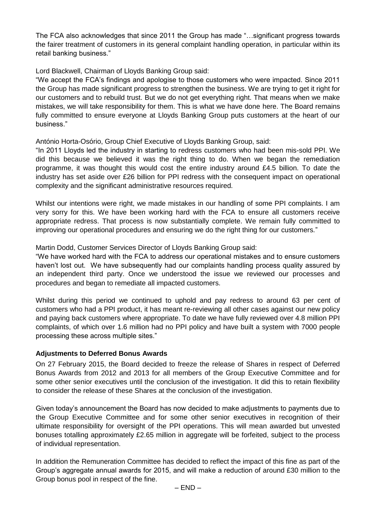The FCA also acknowledges that since 2011 the Group has made "…significant progress towards the fairer treatment of customers in its general complaint handling operation, in particular within its retail banking business."

Lord Blackwell, Chairman of Lloyds Banking Group said:

"We accept the FCA's findings and apologise to those customers who were impacted. Since 2011 the Group has made significant progress to strengthen the business. We are trying to get it right for our customers and to rebuild trust. But we do not get everything right. That means when we make mistakes, we will take responsibility for them. This is what we have done here. The Board remains fully committed to ensure everyone at Lloyds Banking Group puts customers at the heart of our business."

António Horta-Osório, Group Chief Executive of Lloyds Banking Group, said:

"In 2011 Lloyds led the industry in starting to redress customers who had been mis-sold PPI. We did this because we believed it was the right thing to do. When we began the remediation programme, it was thought this would cost the entire industry around £4.5 billion. To date the industry has set aside over £26 billion for PPI redress with the consequent impact on operational complexity and the significant administrative resources required.

Whilst our intentions were right, we made mistakes in our handling of some PPI complaints. I am very sorry for this. We have been working hard with the FCA to ensure all customers receive appropriate redress. That process is now substantially complete. We remain fully committed to improving our operational procedures and ensuring we do the right thing for our customers."

Martin Dodd, Customer Services Director of Lloyds Banking Group said:

"We have worked hard with the FCA to address our operational mistakes and to ensure customers haven't lost out. We have subsequently had our complaints handling process quality assured by an independent third party. Once we understood the issue we reviewed our processes and procedures and began to remediate all impacted customers.

Whilst during this period we continued to uphold and pay redress to around 63 per cent of customers who had a PPI product, it has meant re-reviewing all other cases against our new policy and paying back customers where appropriate. To date we have fully reviewed over 4.8 million PPI complaints, of which over 1.6 million had no PPI policy and have built a system with 7000 people processing these across multiple sites."

## **Adjustments to Deferred Bonus Awards**

On 27 February 2015, the Board decided to freeze the release of Shares in respect of Deferred Bonus Awards from 2012 and 2013 for all members of the Group Executive Committee and for some other senior executives until the conclusion of the investigation. It did this to retain flexibility to consider the release of these Shares at the conclusion of the investigation.

Given today's announcement the Board has now decided to make adjustments to payments due to the Group Executive Committee and for some other senior executives in recognition of their ultimate responsibility for oversight of the PPI operations. This will mean awarded but unvested bonuses totalling approximately £2.65 million in aggregate will be forfeited, subject to the process of individual representation.

In addition the Remuneration Committee has decided to reflect the impact of this fine as part of the Group's aggregate annual awards for 2015, and will make a reduction of around £30 million to the Group bonus pool in respect of the fine.